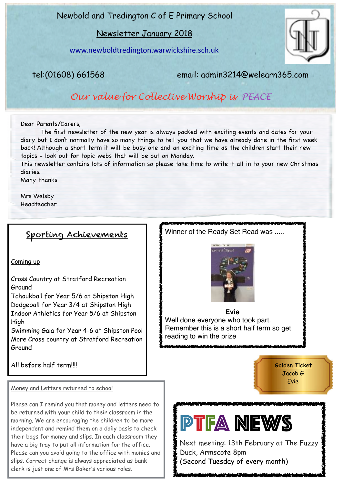Newbold and Tredington C of E Primary School

Newsletter January 2018

[www.newboldtredington.warwickshire.sch.uk](http://www.newboldtredington.warwickshire.sch.uk)



tel:(01608) 661568 email: admin3214@welearn365.com

Winner of the Ready Set Read was .....

*Our value for Collective Worship is PEACE*

#### Dear Parents/Carers,

 The first newsletter of the new year is always packed with exciting events and dates for your diary but I don't normally have so many things to tell you that we have already done in the first week back! Although a short term it will be busy one and an exciting time as the children start their new topics - look out for topic webs that will be out on Monday.

This newsletter contains lots of information so please take time to write it all in to your new Christmas diaries.

Many thanks

Mrs Welsby Headteacher

## Sporting Achievements

#### Coming up

Cross Country at Stratford Recreation Ground

Tchoukball for Year 5/6 at Shipston High Dodgeball for Year 3/4 at Shipston High Indoor Athletics for Year 5/6 at Shipston High

Swimming Gala for Year 4-6 at Shipston Pool More Cross country at Stratford Recreation Ground

**Evie** Well done everyone who took part. Remember this is a short half term so get reading to win the prize

All before half term!!!!

Money and Letters returned to school

Please can I remind you that money and letters need to be returned with your child to their classroom in the morning. We are encouraging the children to be more independent and remind them on a daily basis to check their bags for money and slips. In each classroom they have a big tray to put all information for the office. Please can you avoid going to the office with monies and slips. Correct change is always appreciated as bank clerk is just one of Mrs Baker's various roles.



Golden Ticket Jacob G Evie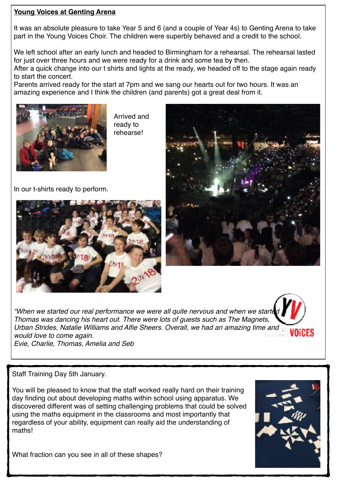### **Young Voices at Genting Arena**

It was an absolute pleasure to take Year 5 and 6 (and a couple of Year 4s) to Genting Arena to take part in the Young Voices Choir. The children were superbly behaved and a credit to the school.

We left school after an early lunch and headed to Birmingham for a rehearsal. The rehearsal lasted for just over three hours and we were ready for a drink and some tea by then.

After a quick change into our t shirts and lights at the ready, we headed off to the stage again ready to start the concert.

Parents arrived ready for the start at 7pm and we sang our hearts out for two hours. It was an amazing experience and I think the children (and parents) got a great deal from it.



Arrived and ready to rehearse!

In our t-shirts ready to perform.





"When we started our real performance we were all quite nervous and when we starte *Thomas was dancing his heart out. There were lots of guests such as The Magnets, Urban Strides, Natalie Williams and Alfie Sheers. Overall, we had an amazing time and would love to come again. Evie, Charlie, Thomas, Amelia and Seb*

Staff Training Day 5th January.

You will be pleased to know that the staff worked really hard on their training day finding out about developing maths within school using apparatus. We discovered different was of setting challenging problems that could be solved using the maths equipment in the classrooms and most importantly that regardless of your ability, equipment can really aid the understanding of maths!



VOICES

What fraction can you see in all of these shapes?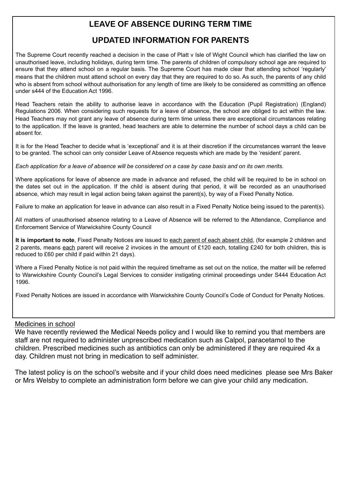## **LEAVE OF ABSENCE DURING TERM TIME**

## **UPDATED INFORMATION FOR PARENTS**

The Supreme Court recently reached a decision in the case of Platt v Isle of Wight Council which has clarified the law on unauthorised leave, including holidays, during term time. The parents of children of compulsory school age are required to ensure that they attend school on a regular basis. The Supreme Court has made clear that attending school 'regularly' means that the children must attend school on every day that they are required to do so. As such, the parents of any child who is absent from school without authorisation for any length of time are likely to be considered as committing an offence under s444 of the Education Act 1996.

Head Teachers retain the ability to authorise leave in accordance with the Education (Pupil Registration) (England) Regulations 2006. When considering such requests for a leave of absence, the school are obliged to act within the law. Head Teachers may not grant any leave of absence during term time unless there are exceptional circumstances relating to the application. If the leave is granted, head teachers are able to determine the number of school days a child can be absent for.

It is for the Head Teacher to decide what is 'exceptional' and it is at their discretion if the circumstances warrant the leave to be granted. The school can only consider Leave of Absence requests which are made by the 'resident' parent.

*Each application for a leave of absence will be considered on a case by case basis and on its own merits.* 

Where applications for leave of absence are made in advance and refused, the child will be required to be in school on the dates set out in the application. If the child is absent during that period, it will be recorded as an unauthorised absence, which may result in legal action being taken against the parent(s), by way of a Fixed Penalty Notice.

Failure to make an application for leave in advance can also result in a Fixed Penalty Notice being issued to the parent(s).

All matters of unauthorised absence relating to a Leave of Absence will be referred to the Attendance, Compliance and Enforcement Service of Warwickshire County Council

**It is important to note**, Fixed Penalty Notices are issued to each parent of each absent child, (for example 2 children and 2 parents, means each parent will receive 2 invoices in the amount of £120 each, totalling £240 for both children, this is reduced to £60 per child if paid within 21 days).

Where a Fixed Penalty Notice is not paid within the required timeframe as set out on the notice, the matter will be referred to Warwickshire County Council's Legal Services to consider instigating criminal proceedings under S444 Education Act 1996.

Fixed Penalty Notices are issued in accordance with Warwickshire County Council's Code of Conduct for Penalty Notices.

#### Medicines in school

We have recently reviewed the Medical Needs policy and I would like to remind you that members are staff are not required to administer unprescribed medication such as Calpol, paracetamol to the children. Prescribed medicines such as antibiotics can only be administered if they are required 4x a day. Children must not bring in medication to self administer.

The latest policy is on the school's website and if your child does need medicines please see Mrs Baker or Mrs Welsby to complete an administration form before we can give your child any medication.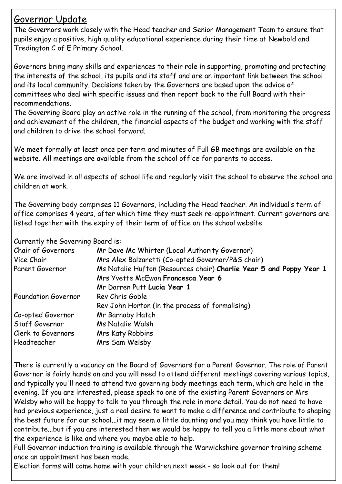## Governor Update

The Governors work closely with the Head teacher and Senior Management Team to ensure that pupils enjoy a positive, high quality educational experience during their time at Newbold and Tredington C of E Primary School.

Governors bring many skills and experiences to their role in supporting, promoting and protecting the interests of the school, its pupils and its staff and are an important link between the school and its local community. Decisions taken by the Governors are based upon the advice of committees who deal with specific issues and then report back to the full Board with their recommendations.

The Governing Board play an active role in the running of the school, from monitoring the progress and achievement of the children, the financial aspects of the budget and working with the staff and children to drive the school forward.

We meet formally at least once per term and minutes of Full GB meetings are available on the website. All meetings are available from the school office for parents to access.

We are involved in all aspects of school life and regularly visit the school to observe the school and children at work.

The Governing body comprises 11 Governors, including the Head teacher. An individual's term of office comprises 4 years, after which time they must seek re-appointment. Current governors are listed together with the expiry of their term of office on the school website

Currently the Governing Board is:

| Chair of Governors<br>Vice Chair | Mr Dave Mc Whirter (Local Authority Governor)<br>Mrs Alex Balzaretti (Co-opted Governor/P&S chair)        |
|----------------------------------|-----------------------------------------------------------------------------------------------------------|
| Parent Governor                  | Ms Natalie Hufton (Resources chair) Charlie Year 5 and Poppy Year 1<br>Mrs Yvette McEwan Francesca Year 6 |
|                                  | Mr Darren Putt Lucia Year 1                                                                               |
| <b>Foundation Governor</b>       | Rev Chris Goble                                                                                           |
|                                  | Rev John Horton (in the process of formalising)                                                           |
| Co-opted Governor                | Mr Barnaby Hatch                                                                                          |
| Staff Governor                   | Ms Natalie Walsh                                                                                          |
| Clerk to Governors               | <b>Mrs Katy Robbins</b>                                                                                   |
| Headteacher                      | Mrs Sam Welsby                                                                                            |

There is currently a vacancy on the Board of Governors for a Parent Governor. The role of Parent Governor is fairly hands on and you will need to attend different meetings covering various topics, and typically you'll need to attend two governing body meetings each term, which are held in the evening. If you are interested, please speak to one of the existing Parent Governors or Mrs Welsby who will be happy to talk to you through the role in more detail. You do not need to have had previous experience, just a real desire to want to make a difference and contribute to shaping the best future for our school...it may seem a little daunting and you may think you have little to contribute...but if you are interested then we would be happy to tell you a little more about what the experience is like and where you maybe able to help.

Full Governor induction training is available through the Warwickshire governor training scheme once an appointment has been made.

Election forms will come home with your children next week - so look out for them!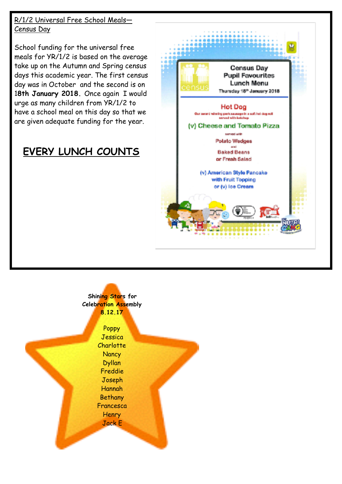R/1/2 Universal Free School Meals— Census Day

School funding for the universal free meals for YR/1/2 is based on the average take up on the Autumn and Spring census days this academic year. The first census day was in October and the second is on 1**8th January 2018.** Once again I would urge as many children from YR/1/2 to have a school meal on this day so that we are given adequate funding for the year.

# **EVERY LUNCH COUNTS**



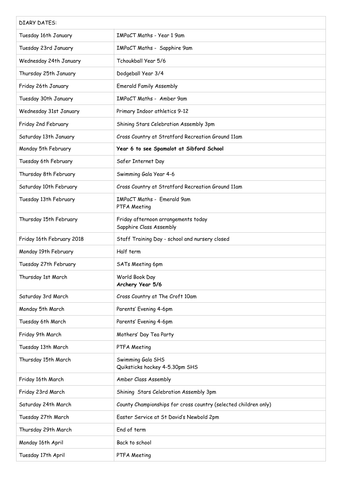| <b>DIARY DATES:</b>       |                                                                 |
|---------------------------|-----------------------------------------------------------------|
| Tuesday 16th January      | IMPaCT Maths - Year 1 9am                                       |
| Tuesday 23rd January      | IMPaCT Maths - Sapphire 9am                                     |
| Wednesday 24th January    | Tchoukball Year 5/6                                             |
| Thursday 25th January     | Dodgeball Year 3/4                                              |
| Friday 26th January       | <b>Emerald Family Assembly</b>                                  |
| Tuesday 30th January      | IMPaCT Maths - Amber 9am                                        |
| Wednesday 31st January    | Primary Indoor athletics 9-12                                   |
| Friday 2nd February       | Shining Stars Celebration Assembly 3pm                          |
| Saturday 13th January     | Cross Country at Stratford Recreation Ground 11am               |
| Monday 5th February       | Year 6 to see Spamalot at Sibford School                        |
| Tuesday 6th February      | Safer Internet Day                                              |
| Thursday 8th February     | Swimming Gala Year 4-6                                          |
| Saturday 10th February    | Cross Country at Stratford Recreation Ground 11am               |
| Tuesday 13th February     | IMPaCT Maths - Emerald 9am<br>PTFA Meeting                      |
| Thursday 15th February    | Friday afternoon arrangements today<br>Sapphire Class Assembly  |
| Friday 16th February 2018 | Staff Training Day - school and nursery closed                  |
| Monday 19th February      | Half term                                                       |
| Tuesday 27th February     | SATs Meeting 6pm                                                |
| Thursday 1st March        | World Book Day<br>Archery Year 5/6                              |
| Saturday 3rd March        | Cross Country at The Croft 10am                                 |
| Monday 5th March          | Parents' Evening 4-6pm                                          |
| Tuesday 6th March         | Parents' Evening 4-6pm                                          |
| Friday 9th March          | Mothers' Day Tea Party                                          |
| Tuesday 13th March        | PTFA Meeting                                                    |
| Thursday 15th March       | Swimming Gala SHS<br>Quiksticks hockey 4-5.30pm SHS             |
| Friday 16th March         | Amber Class Assembly                                            |
| Friday 23rd March         | Shining Stars Celebration Assembly 3pm                          |
| Saturday 24th March       | County Championships for cross country (selected children only) |
| Tuesday 27th March        | Easter Service at St David's Newbold 2pm                        |
| Thursday 29th March       | End of term                                                     |
| Monday 16th April         | Back to school                                                  |
| Tuesday 17th April        | PTFA Meeting                                                    |